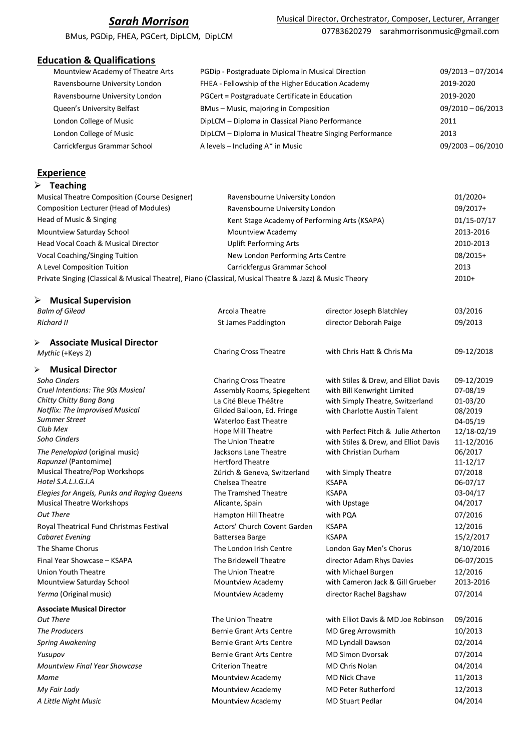# *Sarah Morrison*

BMus, PGDip, FHEA, PGCert, DipLCM, DipLCM

## **Education & Qualifications**

| Mountview Academy of Theatre Arts | PGDip - Postgraduate Diploma in Musical Direction       | $09/2013 - 07/2014$ |
|-----------------------------------|---------------------------------------------------------|---------------------|
| Ravensbourne University London    | FHEA - Fellowship of the Higher Education Academy       | 2019-2020           |
| Ravensbourne University London    | PGCert = Postgraduate Certificate in Education          | 2019-2020           |
| Queen's University Belfast        | BMus-Music, majoring in Composition                     | $09/2010 - 06/2013$ |
| London College of Music           | DipLCM - Diploma in Classical Piano Performance         | 2011                |
| London College of Music           | DipLCM - Diploma in Musical Theatre Singing Performance | 2013                |
| Carrickfergus Grammar School      | A levels $-$ Including $A^*$ in Music                   | $09/2003 - 06/2010$ |
|                                   |                                                         |                     |

## **Experience**

|  | <b>Teaching</b> |  |
|--|-----------------|--|
|--|-----------------|--|

| Musical Theatre Composition (Course Designer)                                                           | Ravensbourne University London                | $01/2020+$  |
|---------------------------------------------------------------------------------------------------------|-----------------------------------------------|-------------|
| Composition Lecturer (Head of Modules)                                                                  | Ravensbourne University London                | 09/2017+    |
| Head of Music & Singing                                                                                 | Kent Stage Academy of Performing Arts (KSAPA) | 01/15-07/17 |
| Mountview Saturday School                                                                               | Mountview Academy                             | 2013-2016   |
| Head Vocal Coach & Musical Director                                                                     | <b>Uplift Performing Arts</b>                 | 2010-2013   |
| Vocal Coaching/Singing Tuition                                                                          | New London Performing Arts Centre             | 08/2015+    |
| A Level Composition Tuition                                                                             | Carrickfergus Grammar School                  | 2013        |
| Private Singing (Classical & Musical Theatre), Piano (Classical, Musical Theatre & Jazz) & Music Theory |                                               | $2010+$     |

### Ø **Musical Supervision**

| <b>Balm of Gilead</b>                                       | Arcola Theatre                                  | director Joseph Blatchley            | 03/2016              |
|-------------------------------------------------------------|-------------------------------------------------|--------------------------------------|----------------------|
| <b>Richard II</b>                                           | St James Paddington                             | director Deborah Paige               | 09/2013              |
| <b>Associate Musical Director</b><br>➤                      |                                                 |                                      |                      |
| Mythic (+Keys 2)                                            | <b>Charing Cross Theatre</b>                    | with Chris Hatt & Chris Ma           | 09-12/2018           |
| <b>Musical Director</b><br>➤                                |                                                 |                                      |                      |
| Soho Cinders                                                | <b>Charing Cross Theatre</b>                    | with Stiles & Drew, and Elliot Davis | 09-12/2019           |
| Cruel Intentions: The 90s Musical                           | Assembly Rooms, Spiegeltent                     | with Bill Kenwright Limited          | 07-08/19             |
| Chitty Chitty Bang Bang                                     | La Cité Bleue Théâtre                           | with Simply Theatre, Switzerland     | $01 - 03/20$         |
| <b>Notflix: The Improvised Musical</b>                      | Gilded Balloon, Ed. Fringe                      | with Charlotte Austin Talent         | 08/2019              |
| Summer Street<br>Club Mex                                   | <b>Waterloo East Theatre</b>                    |                                      | 04-05/19             |
| Soho Cinders                                                | Hope Mill Theatre                               | with Perfect Pitch & Julie Atherton  | 12/18-02/19          |
|                                                             | The Union Theatre                               | with Stiles & Drew, and Elliot Davis | 11-12/2016           |
| The Penelopiad (original music)                             | Jacksons Lane Theatre                           | with Christian Durham                | 06/2017              |
| Rapunzel (Pantomime)<br>Musical Theatre/Pop Workshops       | <b>Hertford Theatre</b>                         |                                      | $11 - 12/17$         |
| Hotel S.A.L.I.G.I.A                                         | Zürich & Geneva, Switzerland<br>Chelsea Theatre | with Simply Theatre<br><b>KSAPA</b>  | 07/2018<br>06-07/17  |
| Elegies for Angels, Punks and Raging Queens                 | The Tramshed Theatre                            | <b>KSAPA</b>                         | 03-04/17             |
| <b>Musical Theatre Workshops</b>                            | Alicante, Spain                                 | with Upstage                         | 04/2017              |
| <b>Out There</b>                                            | <b>Hampton Hill Theatre</b>                     | with PQA                             | 07/2016              |
|                                                             | Actors' Church Covent Garden                    | <b>KSAPA</b>                         |                      |
| Royal Theatrical Fund Christmas Festival<br>Cabaret Evening |                                                 | <b>KSAPA</b>                         | 12/2016<br>15/2/2017 |
|                                                             | Battersea Barge                                 |                                      |                      |
| The Shame Chorus                                            | The London Irish Centre                         | London Gay Men's Chorus              | 8/10/2016            |
| Final Year Showcase - KSAPA                                 | The Bridewell Theatre                           | director Adam Rhys Davies            | 06-07/2015           |
| Union Youth Theatre                                         | The Union Theatre                               | with Michael Burgen                  | 12/2016              |
| Mountview Saturday School                                   | Mountview Academy                               | with Cameron Jack & Gill Grueber     | 2013-2016            |
| Yerma (Original music)                                      | Mountview Academy                               | director Rachel Bagshaw              | 07/2014              |
| <b>Associate Musical Director</b>                           |                                                 |                                      |                      |
| <b>Out There</b>                                            | The Union Theatre                               | with Elliot Davis & MD Joe Robinson  | 09/2016              |
| The Producers                                               | <b>Bernie Grant Arts Centre</b>                 | MD Greg Arrowsmith                   | 10/2013              |
| <b>Spring Awakening</b>                                     | <b>Bernie Grant Arts Centre</b>                 | MD Lyndall Dawson                    | 02/2014              |
| Yusupov                                                     | <b>Bernie Grant Arts Centre</b>                 | <b>MD Simon Dvorsak</b>              | 07/2014              |
| Mountview Final Year Showcase                               | <b>Criterion Theatre</b>                        | <b>MD Chris Nolan</b>                | 04/2014              |
| Mame                                                        | Mountview Academy                               | <b>MD Nick Chave</b>                 | 11/2013              |
| My Fair Lady                                                | Mountview Academy                               | <b>MD Peter Rutherford</b>           | 12/2013              |
| A Little Night Music                                        | Mountview Academy                               | <b>MD Stuart Pedlar</b>              | 04/2014              |
|                                                             |                                                 |                                      |                      |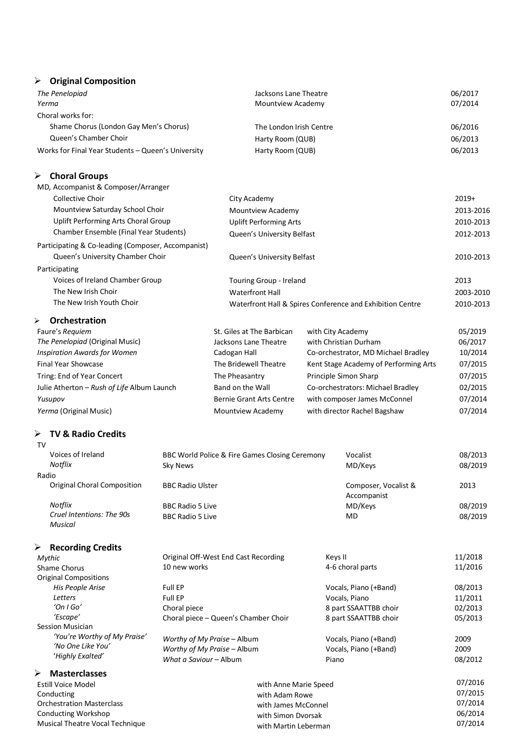## Ø **Original Composition**

| The Penelopiad                                     | Jacksons Lane Theatre   | 06/2017 |
|----------------------------------------------------|-------------------------|---------|
| Yerma                                              | Mountview Academy       | 07/2014 |
| Choral works for:                                  |                         |         |
| Shame Chorus (London Gay Men's Chorus)             | The London Irish Centre | 06/2016 |
| Queen's Chamber Choir                              | Harty Room (QUB)        | 06/2013 |
| Works for Final Year Students - Queen's University | Harty Room (QUB)        | 06/2013 |

### Ø **Choral Groups**

| MD, Accompanist & Composer/Arranger                |                                                           |           |
|----------------------------------------------------|-----------------------------------------------------------|-----------|
| Collective Choir                                   | City Academy                                              | $2019+$   |
| Mountview Saturday School Choir                    | Mountview Academy                                         | 2013-2016 |
| Uplift Performing Arts Choral Group                | <b>Uplift Performing Arts</b>                             | 2010-2013 |
| Chamber Ensemble (Final Year Students)             | Queen's University Belfast                                | 2012-2013 |
| Participating & Co-leading (Composer, Accompanist) |                                                           |           |
| Queen's University Chamber Choir                   | Queen's University Belfast                                | 2010-2013 |
| Participating                                      |                                                           |           |
| Voices of Ireland Chamber Group                    | Touring Group - Ireland                                   | 2013      |
| The New Irish Choir                                | <b>Waterfront Hall</b>                                    | 2003-2010 |
| The New Irish Youth Choir                          | Waterfront Hall & Spires Conference and Exhibition Centre | 2010-2013 |

## Ø **Orchestration**

| Faure's Requiem                            | St. Giles at The Barbican       | with City Academy                     | 05/2019 |
|--------------------------------------------|---------------------------------|---------------------------------------|---------|
| The Penelopiad (Original Music)            | Jacksons Lane Theatre           | with Christian Durham                 | 06/2017 |
| Inspiration Awards for Women               | Cadogan Hall                    | Co-orchestrator, MD Michael Bradley   | 10/2014 |
| <b>Final Year Showcase</b>                 | The Bridewell Theatre           | Kent Stage Academy of Performing Arts | 07/2015 |
| Tring: End of Year Concert                 | The Pheasantry                  | Principle Simon Sharp                 | 07/2015 |
| Julie Atherton - Rush of Life Album Launch | Band on the Wall                | Co-orchestrators: Michael Bradley     | 02/2015 |
| Yusupov                                    | <b>Bernie Grant Arts Centre</b> | with composer James McConnel          | 07/2014 |
| Yerma (Original Music)                     | Mountview Academy               | with director Rachel Bagshaw          | 07/2014 |

#### Ø **TV & Radio Credits**  $T<sub>V</sub>$

| Voices of Ireland<br>Notflix                | BBC World Police & Fire Games Closing Ceremony<br>Sky News | Vocalist<br>MD/Keys                 | 08/2013<br>08/2019 |
|---------------------------------------------|------------------------------------------------------------|-------------------------------------|--------------------|
|                                             |                                                            |                                     |                    |
| Radio                                       |                                                            |                                     |                    |
| <b>Original Choral Composition</b>          | <b>BBC Radio Ulster</b>                                    | Composer, Vocalist &<br>Accompanist | 2013               |
| Notflix                                     | <b>BBC Radio 5 Live</b>                                    | MD/Keys                             | 08/2019            |
| Cruel Intentions: The 90s<br><b>Musical</b> | <b>BBC Radio 5 Live</b>                                    | <b>MD</b>                           | 08/2019            |
| ≻<br><b>Recording Credits</b>               |                                                            |                                     |                    |
| Mythic                                      | Original Off-West End Cast Recording                       | Keys II                             | 11/2018            |
| Shame Chorus                                | 10 new works                                               | 4-6 choral parts                    | 11/2016            |
| <b>Original Compositions</b>                |                                                            |                                     |                    |
| His People Arise                            | Full EP                                                    | Vocals, Piano (+Band)               | 08/2013            |
| Letters                                     | <b>Full EP</b>                                             | Vocals, Piano                       | 11/2011            |
| $'On \, \text{IGO}'$                        | Choral piece                                               | 8 part SSAATTBB choir               | 02/2013            |
| 'Escape'                                    | Choral piece - Queen's Chamber Choir                       | 8 part SSAATTBB choir               | 05/2013            |
| Session Musician                            |                                                            |                                     |                    |
| 'You're Worthy of My Praise'                | Worthy of My Praise - Album                                | Vocals, Piano (+Band)               | 2009               |
| 'No One Like You'                           | Worthy of My Praise - Album                                | Vocals, Piano (+Band)               | 2009               |
| 'Highly Exalted'                            | What a Saviour - Album                                     | Piano                               | 08/2012            |
| ➤<br><b>Masterclasses</b>                   |                                                            |                                     |                    |
| <b>Estill Voice Model</b>                   | with Anne Marie Speed                                      |                                     | 07/2016            |
| Conducting                                  | with Adam Rowe                                             |                                     | 07/2015            |

ducting Orchestration Masterclass Conducting Workshop Musical Theatre Vocal Technique

| with Anne Marie Speed | 07/2016 |
|-----------------------|---------|
| with Adam Rowe        | 07/2015 |
| with James McConnel   | 07/2014 |
| with Simon Dvorsak    | 06/2014 |
| with Martin Leberman  | 07/2014 |
|                       |         |